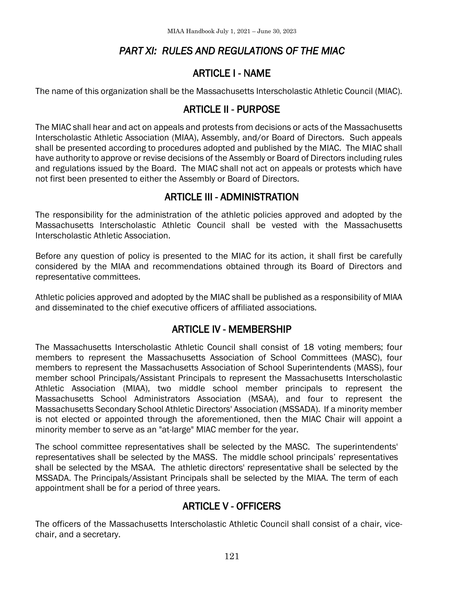# *PART XI: RULES AND REGULATIONS OF THE MIAC*

## ARTICLE I - NAME

The name of this organization shall be the Massachusetts Interscholastic Athletic Council (MIAC).

#### ARTICLE II - PURPOSE

The MIAC shall hear and act on appeals and protests from decisions or acts of the Massachusetts Interscholastic Athletic Association (MIAA), Assembly, and/or Board of Directors. Such appeals shall be presented according to procedures adopted and published by the MIAC. The MIAC shall have authority to approve or revise decisions of the Assembly or Board of Directors including rules and regulations issued by the Board. The MIAC shall not act on appeals or protests which have not first been presented to either the Assembly or Board of Directors.

#### ARTICLE III - ADMINISTRATION

The responsibility for the administration of the athletic policies approved and adopted by the Massachusetts Interscholastic Athletic Council shall be vested with the Massachusetts Interscholastic Athletic Association.

Before any question of policy is presented to the MIAC for its action, it shall first be carefully considered by the MIAA and recommendations obtained through its Board of Directors and representative committees.

Athletic policies approved and adopted by the MIAC shall be published as a responsibility of MIAA and disseminated to the chief executive officers of affiliated associations.

## ARTICLE IV - MEMBERSHIP

The Massachusetts Interscholastic Athletic Council shall consist of 18 voting members; four members to represent the Massachusetts Association of School Committees (MASC), four members to represent the Massachusetts Association of School Superintendents (MASS), four member school Principals/Assistant Principals to represent the Massachusetts Interscholastic Athletic Association (MIAA), two middle school member principals to represent the Massachusetts School Administrators Association (MSAA), and four to represent the Massachusetts Secondary School Athletic Directors' Association (MSSADA). If a minority member is not elected or appointed through the aforementioned, then the MIAC Chair will appoint a minority member to serve as an "at-large" MIAC member for the year.

The school committee representatives shall be selected by the MASC. The superintendents' representatives shall be selected by the MASS. The middle school principals' representatives shall be selected by the MSAA. The athletic directors' representative shall be selected by the MSSADA. The Principals/Assistant Principals shall be selected by the MIAA. The term of each appointment shall be for a period of three years.

#### ARTICLE V - OFFICERS

The officers of the Massachusetts Interscholastic Athletic Council shall consist of a chair, vicechair, and a secretary.